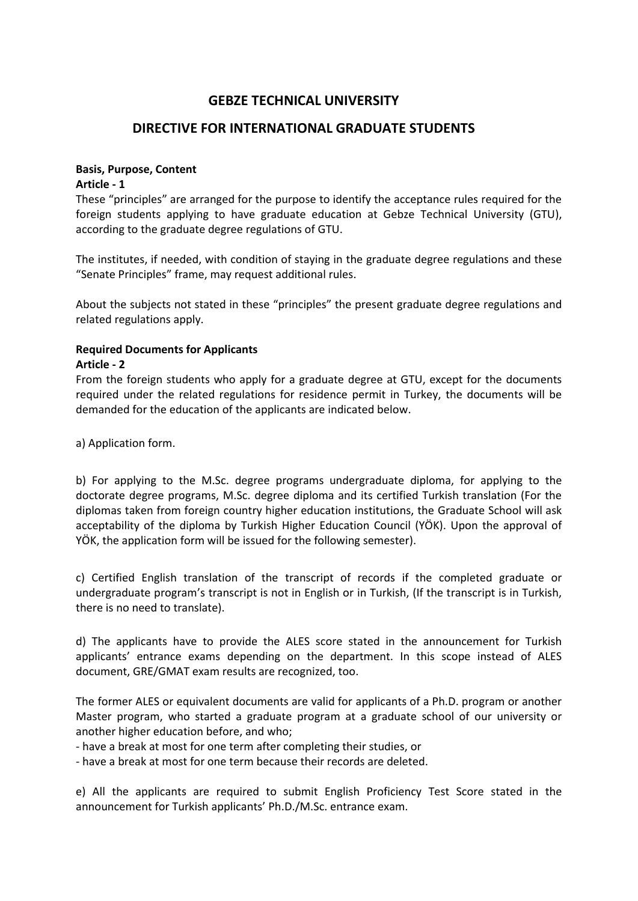## **GEBZE TECHNICAL UNIVERSITY**

## **DIRECTIVE FOR INTERNATIONAL GRADUATE STUDENTS**

#### **Basis, Purpose, Content**

#### **Article - 1**

These "principles" are arranged for the purpose to identify the acceptance rules required for the foreign students applying to have graduate education at Gebze Technical University (GTU), according to the graduate degree regulations of GTU.

The institutes, if needed, with condition of staying in the graduate degree regulations and these "Senate Principles" frame, may request additional rules.

About the subjects not stated in these "principles" the present graduate degree regulations and related regulations apply.

# **Required Documents for Applicants**

#### **Article - 2**

From the foreign students who apply for a graduate degree at GTU, except for the documents required under the related regulations for residence permit in Turkey, the documents will be demanded for the education of the applicants are indicated below.

a) Application form.

b) For applying to the M.Sc. degree programs undergraduate diploma, for applying to the doctorate degree programs, M.Sc. degree diploma and its certified Turkish translation (For the diplomas taken from foreign country higher education institutions, the Graduate School will ask acceptability of the diploma by Turkish Higher Education Council (YÖK). Upon the approval of YÖK, the application form will be issued for the following semester).

c) Certified English translation of the transcript of records if the completed graduate or undergraduate program's transcript is not in English or in Turkish, (If the transcript is in Turkish, there is no need to translate).

d) The applicants have to provide the ALES score stated in the announcement for Turkish applicants' entrance exams depending on the department. In this scope instead of ALES document, GRE/GMAT exam results are recognized, too.

The former ALES or equivalent documents are valid for applicants of a Ph.D. program or another Master program, who started a graduate program at a graduate school of our university or another higher education before, and who;

- have a break at most for one term after completing their studies, or

- have a break at most for one term because their records are deleted.

e) All the applicants are required to submit English Proficiency Test Score stated in the announcement for Turkish applicants' Ph.D./M.Sc. entrance exam.